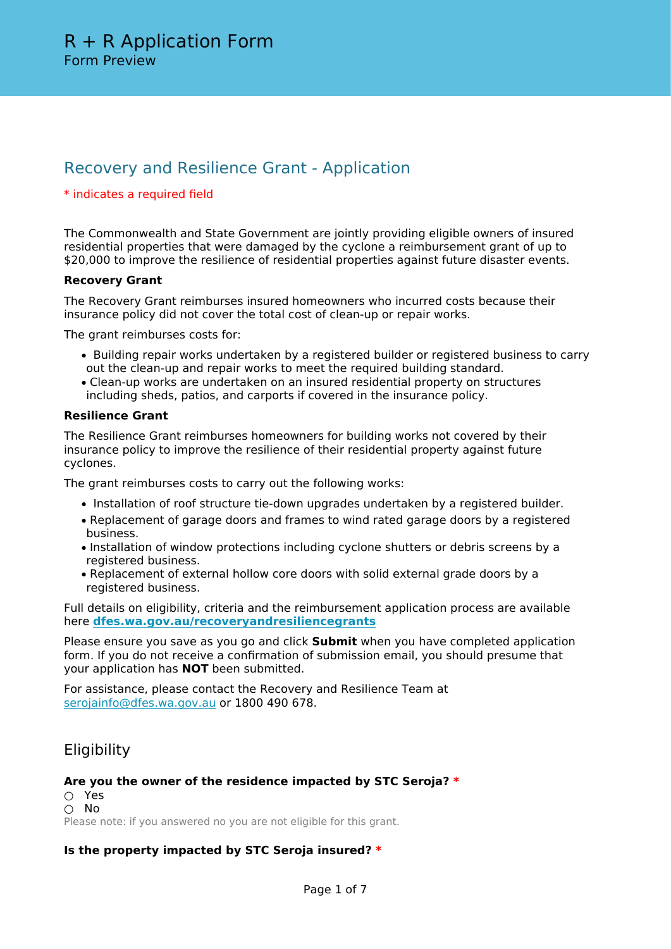# Recovery and Resilience Grant - Application

## \* indicates a required field

The Commonwealth and State Government are jointly providing eligible owners of insured residential properties that were damaged by the cyclone a reimbursement grant of up to \$20,000 to improve the resilience of residential properties against future disaster events.

## **Recovery Grant**

The Recovery Grant reimburses insured homeowners who incurred costs because their insurance policy did not cover the total cost of clean-up or repair works.

The grant reimburses costs for:

- Building repair works undertaken by a registered builder or registered business to carry out the clean-up and repair works to meet the required building standard.
- Clean-up works are undertaken on an insured residential property on structures including sheds, patios, and carports if covered in the insurance policy.

### **Resilience Grant**

The Resilience Grant reimburses homeowners for building works not covered by their insurance policy to improve the resilience of their residential property against future cyclones.

The grant reimburses costs to carry out the following works:

- Installation of roof structure tie-down upgrades undertaken by a registered builder.
- Replacement of garage doors and frames to wind rated garage doors by a registered business.
- Installation of window protections including cyclone shutters or debris screens by a registered business.
- Replacement of external hollow core doors with solid external grade doors by a registered business.

Full details on eligibility, criteria and the reimbursement application process are available here **[dfes.wa.gov.au/recoveryandresiliencegrants](https://dfes.wa.gov.au/site/recoveryandresiliencegrants)**

Please ensure you save as you go and click **Submit** when you have completed application form. If you do not receive a confirmation of submission email, you should presume that your application has **NOT** been submitted.

For assistance, please contact the Recovery and Resilience Team at [serojainfo@dfes.wa.gov.au](mailto:serojainfo@dfes.wa.gov.au) or 1800 490 678.

## **Eligibility**

### **Are you the owner of the residence impacted by STC Seroja? \***

○ Yes ○ No Please note: if you answered no you are not eligible for this grant.

**Is the property impacted by STC Seroja insured? \***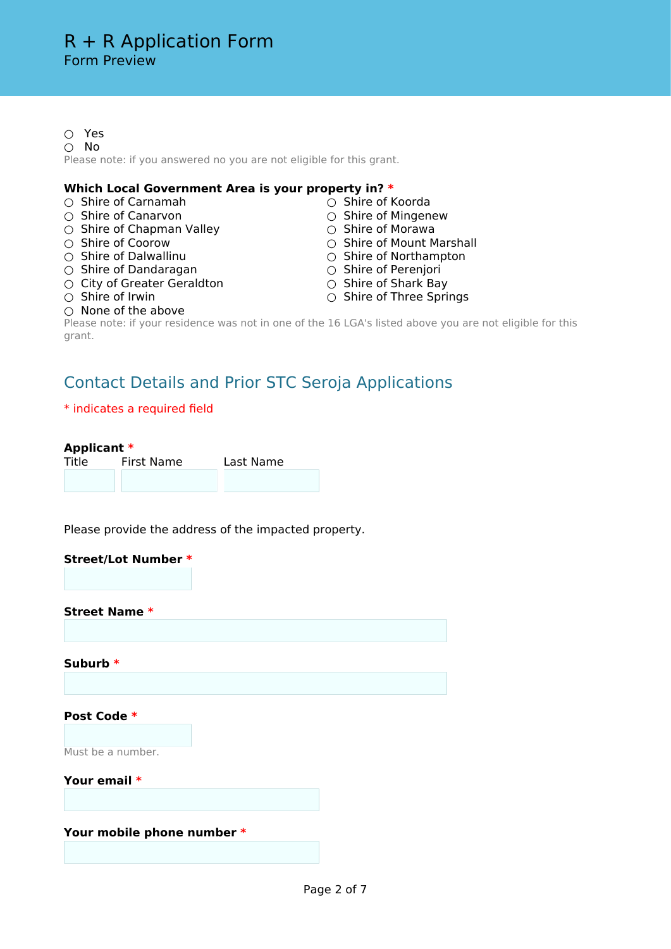○ Yes ○ No Please note: if you answered no you are not eligible for this grant.

### **Which Local Government Area is your property in? \***

- O Shire of Carnamah △ Shire of Koorda<br>
Shire of Canarvon △ Shire of Mingen
- 
- Shire of Chapman Valley
- 
- 
- 
- Shire of Dandaragan Shire of Perenjori ○ City of Greater Geraldton
- 
- 
- Shire of Mingenew<br>○ Shire of Morawa
- 
- Shire of Coorow Shire of Mount Marshall<br>○ Shire of Dalwallinu △ Shire of Northampton
	- Shire of Northampton<br>○ Shire of Perenjori
	-
	-
- Shire of Irwin Shire of Three Springs
- $\bigcirc$  None of the above

Please note: if your residence was not in one of the 16 LGA's listed above you are not eligible for this grant.

## Contact Details and Prior STC Seroja Applications

### \* indicates a required field

### **Applicant \***

| . .<br>Title | First Name | Last Name |
|--------------|------------|-----------|
|              |            |           |

Please provide the address of the impacted property.

| <b>Street/Lot Number *</b> |  |
|----------------------------|--|
| <b>Street Name *</b>       |  |
|                            |  |
| Suburb *                   |  |
|                            |  |
| Post Code *                |  |
| Must be a number.          |  |
| Your email *               |  |
|                            |  |
| Your mobile phone number * |  |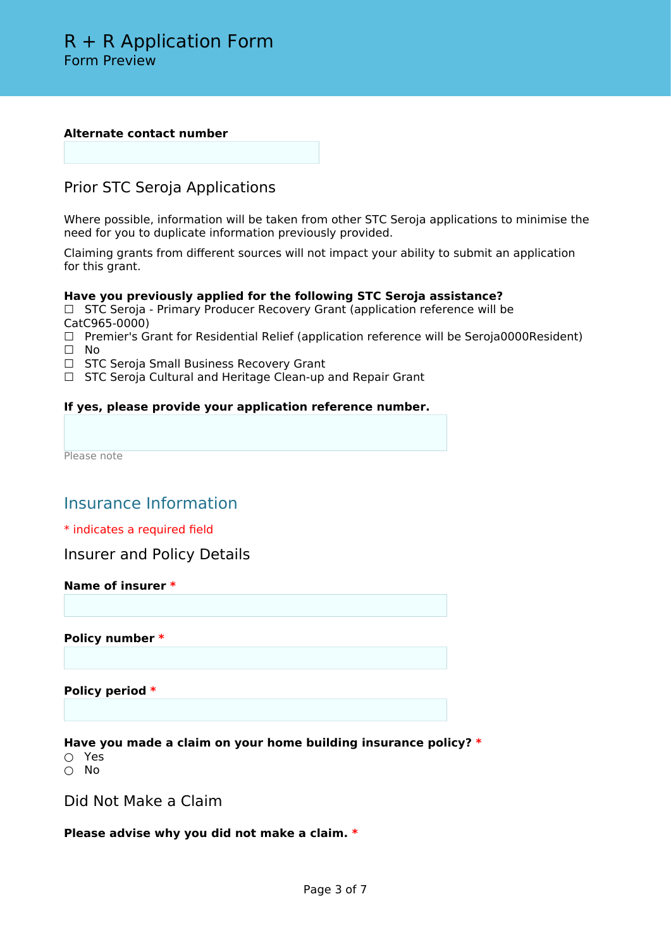#### **Alternate contact number**

## Prior STC Seroja Applications

Where possible, information will be taken from other STC Seroja applications to minimise the need for you to duplicate information previously provided.

Claiming grants from different sources will not impact your ability to submit an application for this grant.

## **Have you previously applied for the following STC Seroja assistance?**

□ STC Seroja - Primary Producer Recovery Grant (application reference will be CatC965-0000)

- ☐ Premier's Grant for Residential Relief (application reference will be Seroja0000Resident) ☐ No
- □ STC Seroja Small Business Recovery Grant
- □ STC Seroja Cultural and Heritage Clean-up and Repair Grant

## **If yes, please provide your application reference number.**

Please note

## Insurance Information

### \* indicates a required field

Insurer and Policy Details

## **Name of insurer \***

**Policy number \***

**Policy period \***

**Have you made a claim on your home building insurance policy? \***

○ Yes

○ No

Did Not Make a Claim

**Please advise why you did not make a claim. \***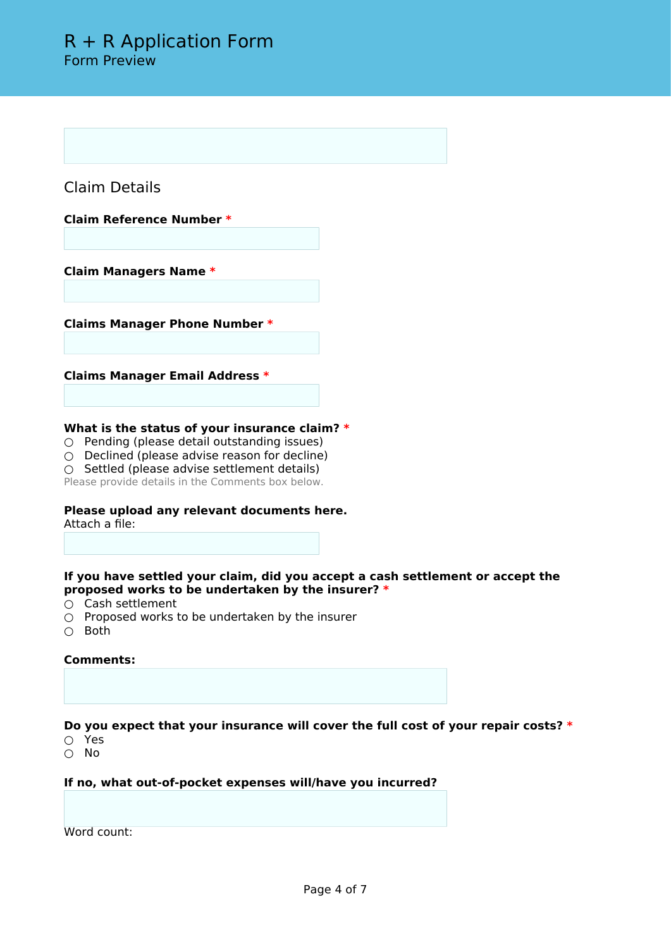Claim Details

**Claim Reference Number \***

**Claim Managers Name \***

**Claims Manager Phone Number \***

**Claims Manager Email Address \***

### **What is the status of your insurance claim? \***

- Pending (please detail outstanding issues)
- $\circ$  Declined (please advise reason for decline)
- Settled (please advise settlement details)

Please provide details in the Comments box below.

#### **Please upload any relevant documents here.** Attach a file:

## **If you have settled your claim, did you accept a cash settlement or accept the proposed works to be undertaken by the insurer? \***

- Cash settlement
- $\bigcirc$  Proposed works to be undertaken by the insurer
- Both

### **Comments:**

**Do you expect that your insurance will cover the full cost of your repair costs? \***

- Yes
- No

**If no, what out-of-pocket expenses will/have you incurred?**

Word count: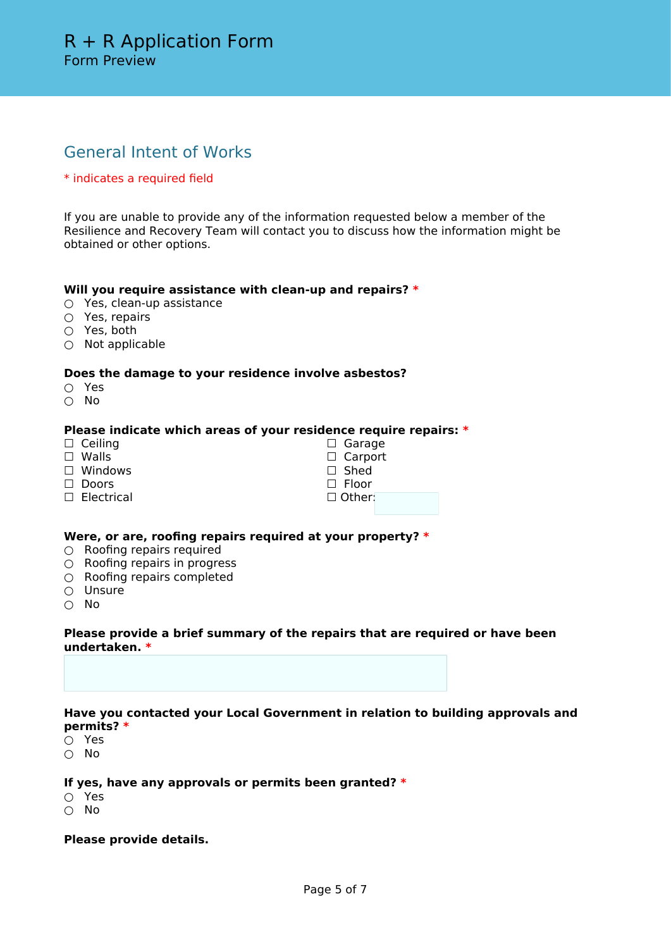# General Intent of Works

## \* indicates a required field

If you are unable to provide any of the information requested below a member of the Resilience and Recovery Team will contact you to discuss how the information might be obtained or other options.

### **Will you require assistance with clean-up and repairs? \***

- Yes, clean-up assistance
- Yes, repairs
- Yes, both
- Not applicable

### **Does the damage to your residence involve asbestos?**

- Yes
- No

## **Please indicate which areas of your residence require repairs: \***

- □ Ceiling
- □ Walls
- □ Windows
- □ Doors
- □ Electrical

| $\Box$ Garage   |  |
|-----------------|--|
| $\Box$ Carport  |  |
| $\Box$ Shed     |  |
| $\square$ Floor |  |
| $\Box$ Other:   |  |
|                 |  |

## **Were, or are, roofing repairs required at your property? \***

- $\bigcirc$  Roofing repairs required
- Roofing repairs in progress
- Roofing repairs completed
- Unsure
- No

### **Please provide a brief summary of the repairs that are required or have been undertaken. \***

## **Have you contacted your Local Government in relation to building approvals and permits? \***

- Yes
- No

## **If yes, have any approvals or permits been granted? \***

- Yes
- No

### **Please provide details.**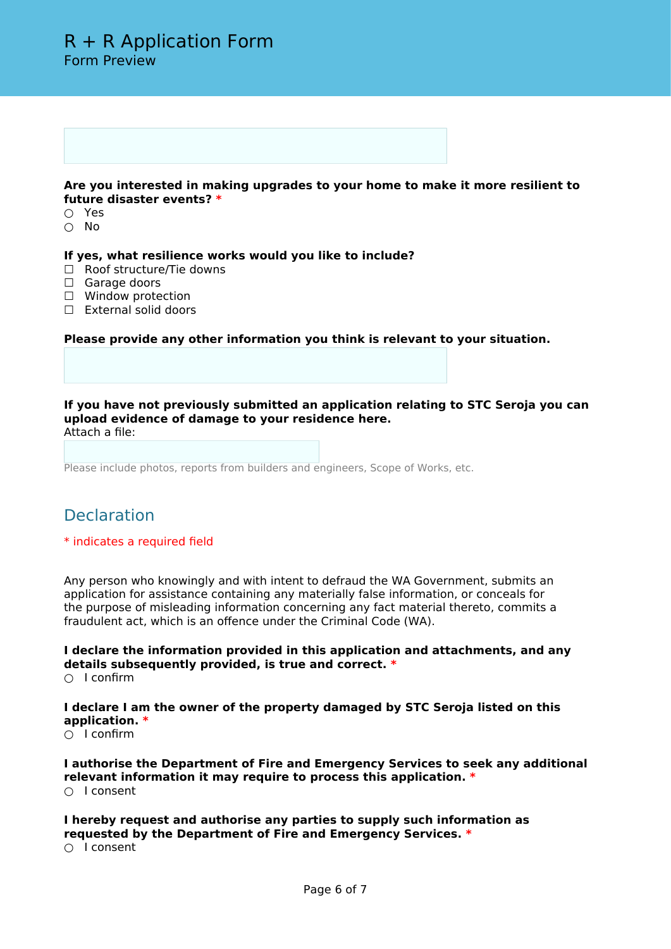#### **Are you interested in making upgrades to your home to make it more resilient to future disaster events? \***

- Yes
- No

**If yes, what resilience works would you like to include?**

- □ Roof structure/Tie downs
- □ Garage doors
- □ Window protection
- □ External solid doors

**Please provide any other information you think is relevant to your situation.**

**If you have not previously submitted an application relating to STC Seroja you can upload evidence of damage to your residence here.** Attach a file:

Please include photos, reports from builders and engineers, Scope of Works, etc.

## **Declaration**

### \* indicates a required field

Any person who knowingly and with intent to defraud the WA Government, submits an application for assistance containing any materially false information, or conceals for the purpose of misleading information concerning any fact material thereto, commits a fraudulent act, which is an offence under the Criminal Code (WA).

**I declare the information provided in this application and attachments, and any details subsequently provided, is true and correct. \***

○ I confirm

**I declare I am the owner of the property damaged by STC Seroja listed on this application. \***

○ I confirm

**I authorise the Department of Fire and Emergency Services to seek any additional relevant information it may require to process this application. \*** ○ I consent

**I hereby request and authorise any parties to supply such information as requested by the Department of Fire and Emergency Services. \***

○ I consent